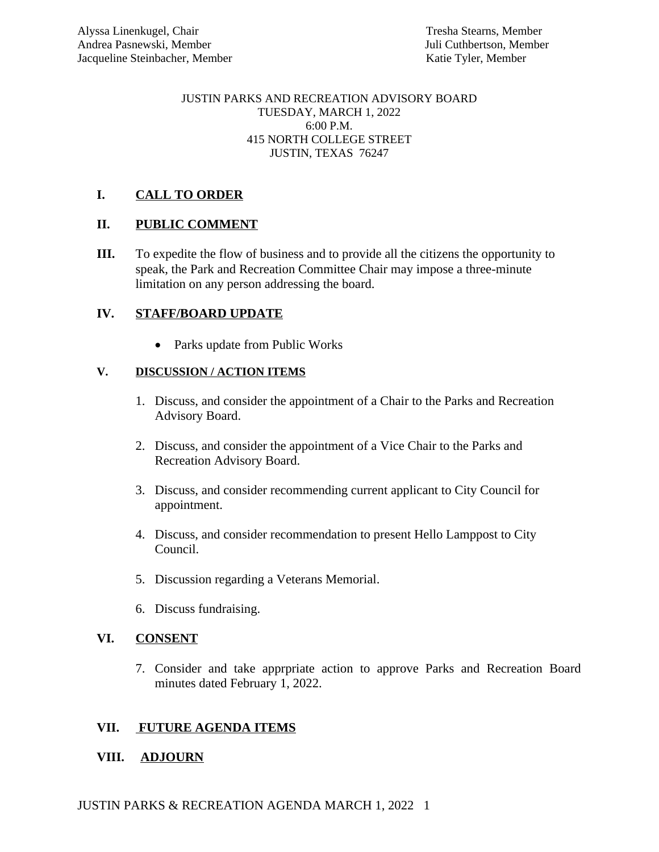#### JUSTIN PARKS AND RECREATION ADVISORY BOARD TUESDAY, MARCH 1, 2022 6:00 P.M. 415 NORTH COLLEGE STREET JUSTIN, TEXAS 76247

## **I. CALL TO ORDER**

## **II. PUBLIC COMMENT**

**III.** To expedite the flow of business and to provide all the citizens the opportunity to speak, the Park and Recreation Committee Chair may impose a three-minute limitation on any person addressing the board.

# **IV. STAFF/BOARD UPDATE**

• Parks update from Public Works

### **V. DISCUSSION / ACTION ITEMS**

- 1. Discuss, and consider the appointment of a Chair to the Parks and Recreation Advisory Board.
- 2. Discuss, and consider the appointment of a Vice Chair to the Parks and Recreation Advisory Board.
- 3. Discuss, and consider recommending current applicant to City Council for appointment.
- 4. Discuss, and consider recommendation to present Hello Lamppost to City Council.
- 5. Discussion regarding a Veterans Memorial.
- 6. Discuss fundraising.

## **VI. CONSENT**

7. Consider and take apprpriate action to approve Parks and Recreation Board minutes dated February 1, 2022.

## **VII. FUTURE AGENDA ITEMS**

## **VIII. ADJOURN**